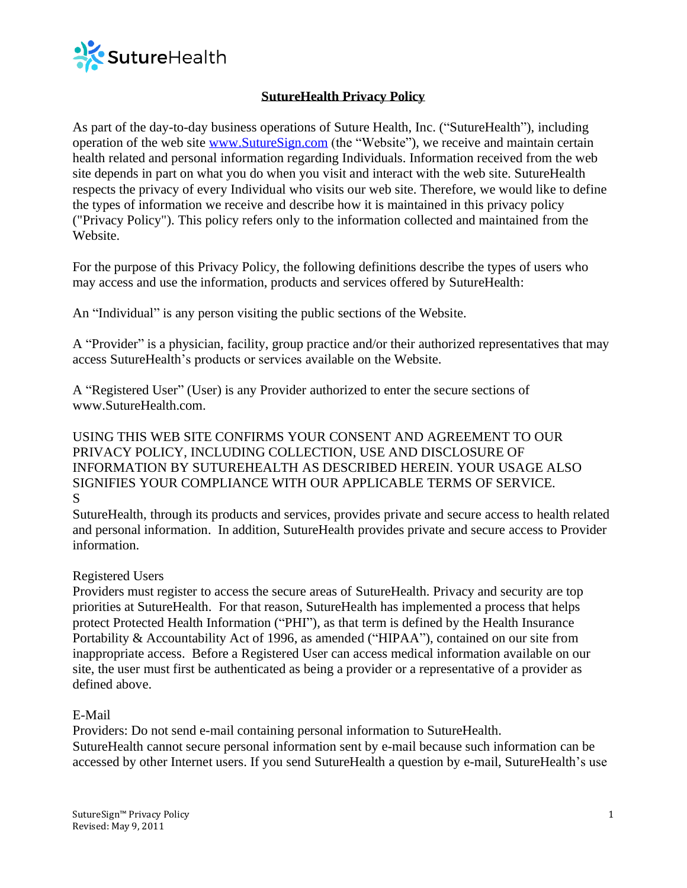

# **SutureHealth Privacy Policy**

As part of the day-to-day business operations of Suture Health, Inc. ("SutureHealth"), including operation of the web site [www.SutureSign.com](http://www.suturesign.com/) (the "Website"), we receive and maintain certain health related and personal information regarding Individuals. Information received from the web site depends in part on what you do when you visit and interact with the web site. SutureHealth respects the privacy of every Individual who visits our web site. Therefore, we would like to define the types of information we receive and describe how it is maintained in this privacy policy ("Privacy Policy"). This policy refers only to the information collected and maintained from the Website.

For the purpose of this Privacy Policy, the following definitions describe the types of users who may access and use the information, products and services offered by SutureHealth:

An "Individual" is any person visiting the public sections of the Website.

A "Provider" is a physician, facility, group practice and/or their authorized representatives that may access SutureHealth's products or services available on the Website.

A "Registered User" (User) is any Provider authorized to enter the secure sections of www.SutureHealth.com.

## USING THIS WEB SITE CONFIRMS YOUR CONSENT AND AGREEMENT TO OUR PRIVACY POLICY, INCLUDING COLLECTION, USE AND DISCLOSURE OF INFORMATION BY SUTUREHEALTH AS DESCRIBED HEREIN. YOUR USAGE ALSO SIGNIFIES YOUR COMPLIANCE WITH OUR APPLICABLE TERMS OF SERVICE. S

SutureHealth, through its products and services, provides private and secure access to health related and personal information. In addition, SutureHealth provides private and secure access to Provider information.

### Registered Users

Providers must register to access the secure areas of SutureHealth. Privacy and security are top priorities at SutureHealth. For that reason, SutureHealth has implemented a process that helps protect Protected Health Information ("PHI"), as that term is defined by the Health Insurance Portability & Accountability Act of 1996, as amended ("HIPAA"), contained on our site from inappropriate access. Before a Registered User can access medical information available on our site, the user must first be authenticated as being a provider or a representative of a provider as defined above.

# E-Mail

Providers: Do not send e-mail containing personal information to SutureHealth. SutureHealth cannot secure personal information sent by e-mail because such information can be accessed by other Internet users. If you send SutureHealth a question by e-mail, SutureHealth's use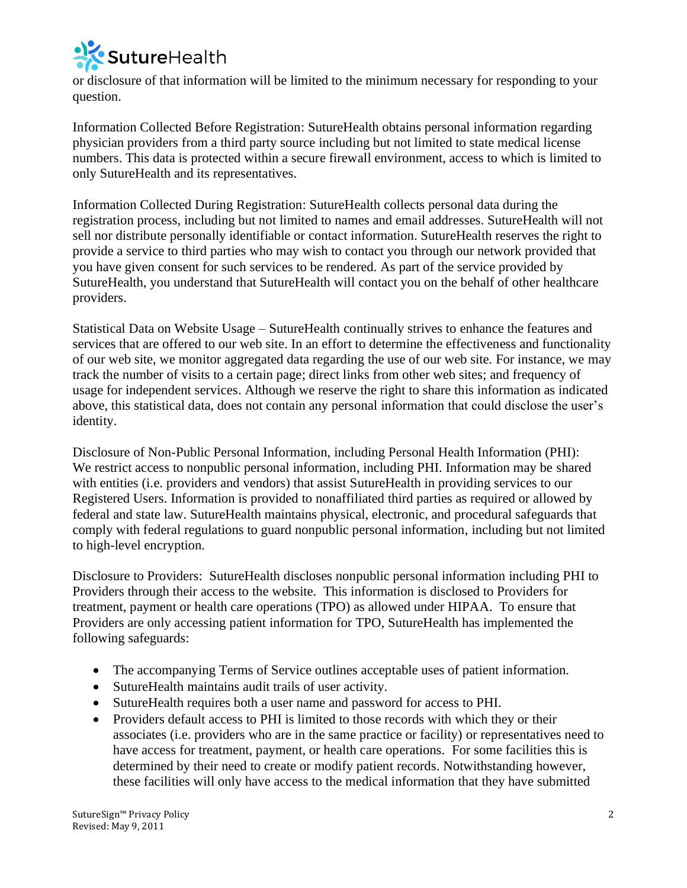

or disclosure of that information will be limited to the minimum necessary for responding to your question.

Information Collected Before Registration: SutureHealth obtains personal information regarding physician providers from a third party source including but not limited to state medical license numbers. This data is protected within a secure firewall environment, access to which is limited to only SutureHealth and its representatives.

Information Collected During Registration: SutureHealth collects personal data during the registration process, including but not limited to names and email addresses. SutureHealth will not sell nor distribute personally identifiable or contact information. SutureHealth reserves the right to provide a service to third parties who may wish to contact you through our network provided that you have given consent for such services to be rendered. As part of the service provided by SutureHealth, you understand that SutureHealth will contact you on the behalf of other healthcare providers.

Statistical Data on Website Usage – SutureHealth continually strives to enhance the features and services that are offered to our web site. In an effort to determine the effectiveness and functionality of our web site, we monitor aggregated data regarding the use of our web site. For instance, we may track the number of visits to a certain page; direct links from other web sites; and frequency of usage for independent services. Although we reserve the right to share this information as indicated above, this statistical data, does not contain any personal information that could disclose the user's identity.

Disclosure of Non-Public Personal Information, including Personal Health Information (PHI): We restrict access to nonpublic personal information, including PHI. Information may be shared with entities (i.e. providers and vendors) that assist SutureHealth in providing services to our Registered Users. Information is provided to nonaffiliated third parties as required or allowed by federal and state law. SutureHealth maintains physical, electronic, and procedural safeguards that comply with federal regulations to guard nonpublic personal information, including but not limited to high-level encryption.

Disclosure to Providers: SutureHealth discloses nonpublic personal information including PHI to Providers through their access to the website. This information is disclosed to Providers for treatment, payment or health care operations (TPO) as allowed under HIPAA. To ensure that Providers are only accessing patient information for TPO, SutureHealth has implemented the following safeguards:

- The accompanying Terms of Service outlines acceptable uses of patient information.
- SutureHealth maintains audit trails of user activity.
- SutureHealth requires both a user name and password for access to PHI.
- Providers default access to PHI is limited to those records with which they or their associates (i.e. providers who are in the same practice or facility) or representatives need to have access for treatment, payment, or health care operations. For some facilities this is determined by their need to create or modify patient records. Notwithstanding however, these facilities will only have access to the medical information that they have submitted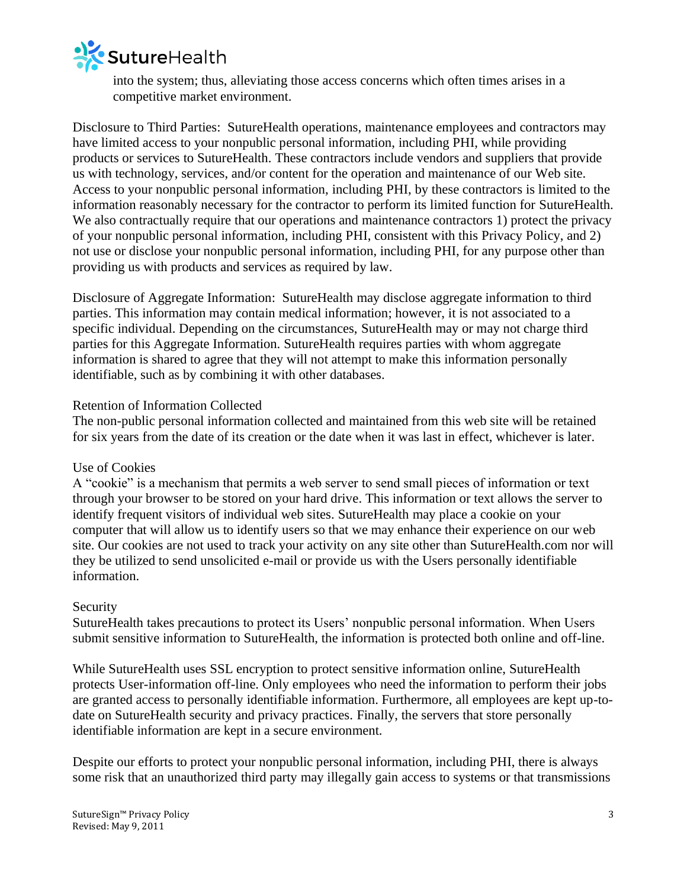

into the system; thus, alleviating those access concerns which often times arises in a competitive market environment.

Disclosure to Third Parties: SutureHealth operations, maintenance employees and contractors may have limited access to your nonpublic personal information, including PHI, while providing products or services to SutureHealth. These contractors include vendors and suppliers that provide us with technology, services, and/or content for the operation and maintenance of our Web site. Access to your nonpublic personal information, including PHI, by these contractors is limited to the information reasonably necessary for the contractor to perform its limited function for SutureHealth. We also contractually require that our operations and maintenance contractors 1) protect the privacy of your nonpublic personal information, including PHI, consistent with this Privacy Policy, and 2) not use or disclose your nonpublic personal information, including PHI, for any purpose other than providing us with products and services as required by law.

Disclosure of Aggregate Information: SutureHealth may disclose aggregate information to third parties. This information may contain medical information; however, it is not associated to a specific individual. Depending on the circumstances, SutureHealth may or may not charge third parties for this Aggregate Information. SutureHealth requires parties with whom aggregate information is shared to agree that they will not attempt to make this information personally identifiable, such as by combining it with other databases.

#### Retention of Information Collected

The non-public personal information collected and maintained from this web site will be retained for six years from the date of its creation or the date when it was last in effect, whichever is later.

#### Use of Cookies

A "cookie" is a mechanism that permits a web server to send small pieces of information or text through your browser to be stored on your hard drive. This information or text allows the server to identify frequent visitors of individual web sites. SutureHealth may place a cookie on your computer that will allow us to identify users so that we may enhance their experience on our web site. Our cookies are not used to track your activity on any site other than SutureHealth.com nor will they be utilized to send unsolicited e-mail or provide us with the Users personally identifiable information.

### Security

SutureHealth takes precautions to protect its Users' nonpublic personal information. When Users submit sensitive information to SutureHealth, the information is protected both online and off-line.

While SutureHealth uses SSL encryption to protect sensitive information online, SutureHealth protects User-information off-line. Only employees who need the information to perform their jobs are granted access to personally identifiable information. Furthermore, all employees are kept up-todate on SutureHealth security and privacy practices. Finally, the servers that store personally identifiable information are kept in a secure environment.

Despite our efforts to protect your nonpublic personal information, including PHI, there is always some risk that an unauthorized third party may illegally gain access to systems or that transmissions